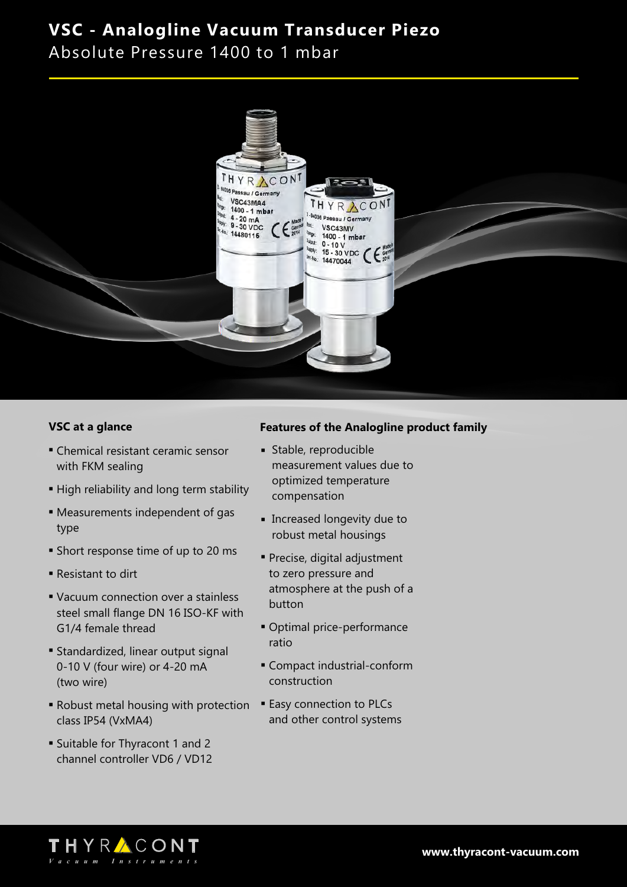Absolute Pressure 1400 to 1 mbar



#### **VSC at a glance**

- Chemical resistant ceramic sensor with FKM sealing
- High reliability and long term stability
- **Measurements independent of gas** type
- **Example 3 Short response time of up to 20 ms**
- **Resistant to dirt**
- Vacuum connection over a stainless steel small flange DN 16 ISO-KF with G1/4 female thread
- **Example 1** Standardized, linear output signal 0-10 V (four wire) or 4-20 mA (two wire)
- **Robust metal housing with protection** class IP54 (VxMA4)
- **Example 5 Suitable for Thyracont 1 and 2** channel controller VD6 / VD12

#### **Features of the Analogline product family**

- **stable, reproducible** measurement values due to optimized temperature compensation
- **Exercise** Iongevity due to robust metal housings
- **Precise, digital adjustment** to zero pressure and atmosphere at the push of a button
- Optimal price-performance ratio
- **Compact industrial-conform** construction
- **Easy connection to PLCs** and other control systems

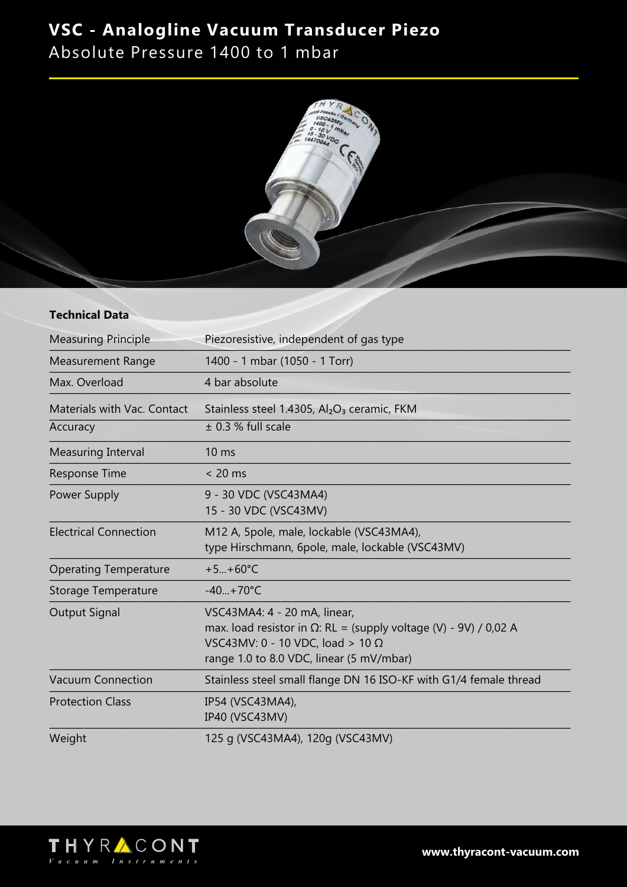Absolute Pressure 1400 to 1 mbar



#### **Technical Data**

| <b>Measuring Principle</b>   | Piezoresistive, independent of gas type                                                                                                                                                         |
|------------------------------|-------------------------------------------------------------------------------------------------------------------------------------------------------------------------------------------------|
| <b>Measurement Range</b>     | 1400 - 1 mbar (1050 - 1 Torr)                                                                                                                                                                   |
| Max. Overload                | 4 bar absolute                                                                                                                                                                                  |
| Materials with Vac. Contact  | Stainless steel 1.4305, Al <sub>2</sub> O <sub>3</sub> ceramic, FKM                                                                                                                             |
| Accuracy                     | $\pm$ 0.3 % full scale                                                                                                                                                                          |
| <b>Measuring Interval</b>    | 10 <sub>ms</sub>                                                                                                                                                                                |
| <b>Response Time</b>         | $< 20$ ms                                                                                                                                                                                       |
| Power Supply                 | 9 - 30 VDC (VSC43MA4)<br>15 - 30 VDC (VSC43MV)                                                                                                                                                  |
| <b>Electrical Connection</b> | M12 A, 5pole, male, lockable (VSC43MA4),<br>type Hirschmann, 6pole, male, lockable (VSC43MV)                                                                                                    |
| <b>Operating Temperature</b> | $+5+60^{\circ}C$                                                                                                                                                                                |
| Storage Temperature          | $-40+70°C$                                                                                                                                                                                      |
| <b>Output Signal</b>         | VSC43MA4: 4 - 20 mA, linear,<br>max. load resistor in $\Omega$ : RL = (supply voltage (V) - 9V) / 0,02 A<br>VSC43MV: 0 - 10 VDC, load > 10 $\Omega$<br>range 1.0 to 8.0 VDC, linear (5 mV/mbar) |
| <b>Vacuum Connection</b>     | Stainless steel small flange DN 16 ISO-KF with G1/4 female thread                                                                                                                               |
| <b>Protection Class</b>      | IP54 (VSC43MA4),<br>IP40 (VSC43MV)                                                                                                                                                              |
| Weight                       | 125 g (VSC43MA4), 120g (VSC43MV)                                                                                                                                                                |

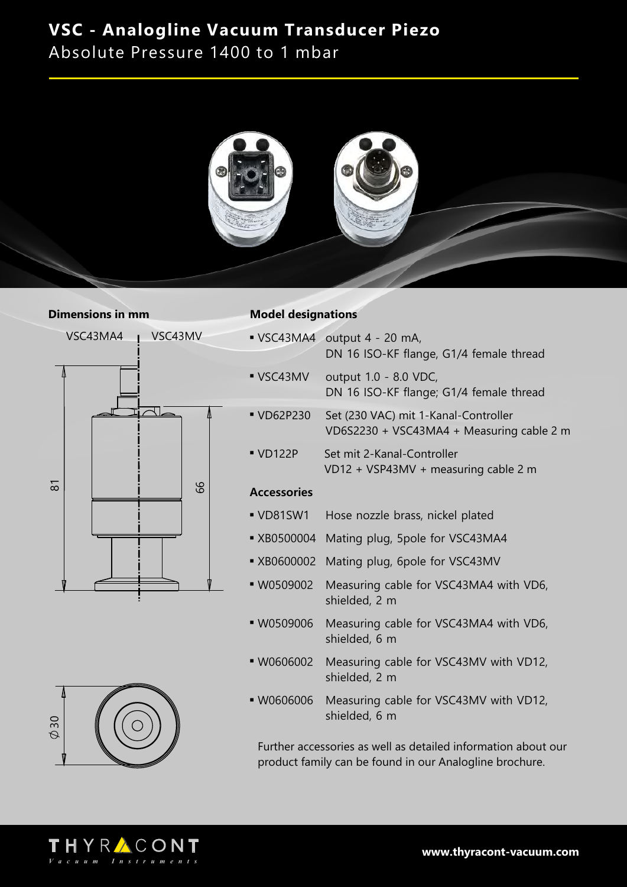Absolute Pressure 1400 to 1 mbar



#### **Dimensions in mm**





#### **Model designations**

|                         | • VSC43MA4 output 4 - 20 mA,<br>DN 16 ISO-KF flange, G1/4 female thread           |
|-------------------------|-----------------------------------------------------------------------------------|
| $\blacksquare$ VSC43MV  | output 1.0 - 8.0 VDC,<br>DN 16 ISO-KF flange; G1/4 female thread                  |
| $\blacksquare$ VD62P230 | Set (230 VAC) mit 1-Kanal-Controller<br>VD6S2230 + VSC43MA4 + Measuring cable 2 m |
| $\blacksquare$ VD122P   | Set mit 2-Kanal-Controller<br>VD12 + VSP43MV + measuring cable 2 m                |
| <b>Accessories</b>      |                                                                                   |

- <sup>n</sup> VD81SW1 Hose nozzle brass, nickel plated
- XB0500004 Mating plug, 5pole for VSC43MA4
- **\* XB0600002** Mating plug, 6pole for VSC43MV
- **W0509002** Measuring cable for VSC43MA4 with VD6, shielded, 2 m
- **W0509006** Measuring cable for VSC43MA4 with VD6, shielded, 6 m
- **W0606002** Measuring cable for VSC43MV with VD12, shielded, 2 m
- W0606006 Measuring cable for VSC43MV with VD12, shielded, 6 m

Further accessories as well as detailed information about our product family can be found in our Analogline brochure.